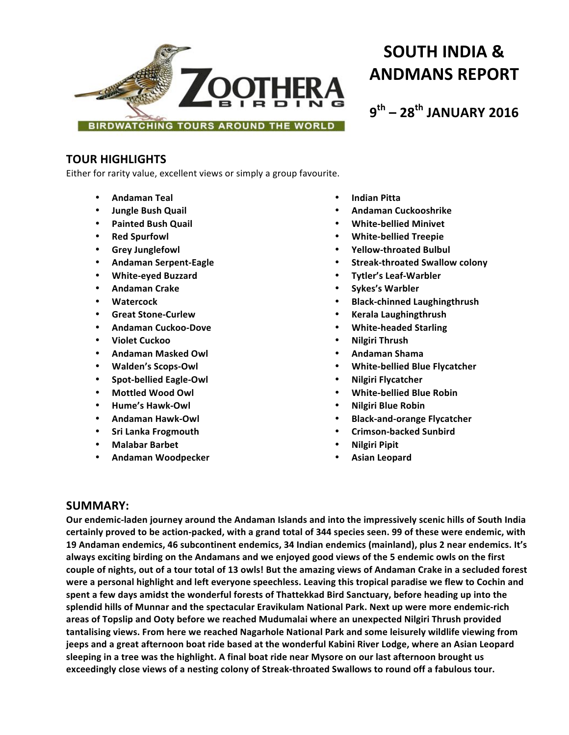

**SOUTH INDIA & ANDMANS REPORT**

**9th – 28th JANUARY 2016**

# **TOUR HIGHLIGHTS**

Either for rarity value, excellent views or simply a group favourite.

- **Andaman Teal**
- **Jungle Bush Quail**
- **Painted Bush Quail**
- **Red Spurfowl**
- **Grey Junglefowl**
- **Andaman Serpent-Eagle**
- **White-eyed Buzzard**
- **Andaman Crake**
- **Watercock**
- **Great Stone-Curlew**
- **Andaman Cuckoo-Dove**
- **Violet Cuckoo**
- **Andaman Masked Owl**
- **Walden's Scops-Owl**
- **Spot-bellied Eagle-Owl**
- **Mottled Wood Owl**
- **Hume's Hawk-Owl**
- **Andaman Hawk-Owl**
- **Sri Lanka Frogmouth**
- **Malabar Barbet**
- **Andaman Woodpecker**
- **Indian Pitta**
- **Andaman Cuckooshrike**
- **White-bellied Minivet**
- **White-bellied Treepie**
- **Yellow-throated Bulbul**
- **Streak-throated Swallow colony**
- **Tytler's Leaf-Warbler**
- **Sykes's Warbler**
- **Black-chinned Laughingthrush**
- **Kerala Laughingthrush**
- **White-headed Starling**
- **Nilgiri Thrush**
- **Andaman Shama**
- **White-bellied Blue Flycatcher**
- **Nilgiri Flycatcher**
- **White-bellied Blue Robin**
- **Nilgiri Blue Robin**
- **Black-and-orange Flycatcher**
- **Crimson-backed Sunbird**
- **Nilgiri Pipit**
- **Asian Leopard**

# **SUMMARY:**

Our endemic-laden journey around the Andaman Islands and into the impressively scenic hills of South India certainly proved to be action-packed, with a grand total of 344 species seen. 99 of these were endemic, with **19** Andaman endemics, 46 subcontinent endemics, 34 Indian endemics (mainland), plus 2 near endemics. It's always exciting birding on the Andamans and we enjoyed good views of the 5 endemic owls on the first couple of nights, out of a tour total of 13 owls! But the amazing views of Andaman Crake in a secluded forest were a personal highlight and left everyone speechless. Leaving this tropical paradise we flew to Cochin and spent a few days amidst the wonderful forests of Thattekkad Bird Sanctuary, before heading up into the splendid hills of Munnar and the spectacular Eravikulam National Park. Next up were more endemic-rich areas of Topslip and Ooty before we reached Mudumalai where an unexpected Nilgiri Thrush provided **tantalising views. From here we reached Nagarhole National Park and some leisurely wildlife viewing from**  jeeps and a great afternoon boat ride based at the wonderful Kabini River Lodge, where an Asian Leopard sleeping in a tree was the highlight. A final boat ride near Mysore on our last afternoon brought us exceedingly close views of a nesting colony of Streak-throated Swallows to round off a fabulous tour.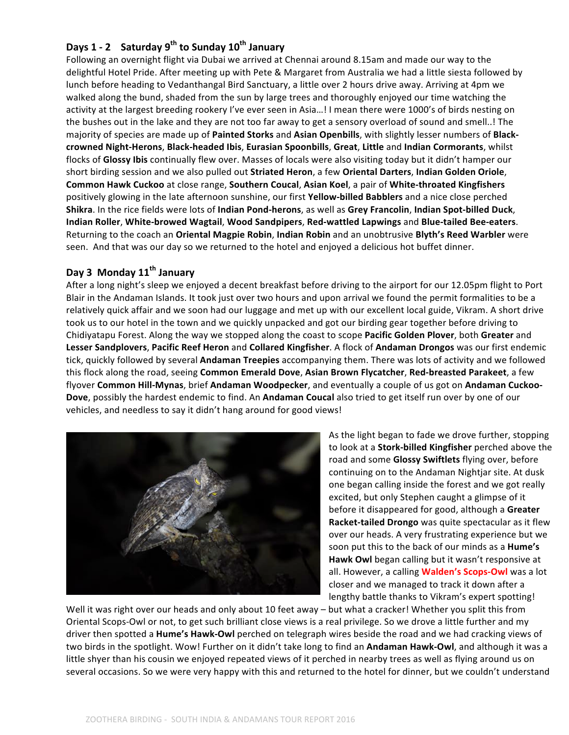# **Days 1 - 2 Saturday 9th to Sunday 10th January**

Following an overnight flight via Dubai we arrived at Chennai around 8.15am and made our way to the delightful Hotel Pride. After meeting up with Pete & Margaret from Australia we had a little siesta followed by lunch before heading to Vedanthangal Bird Sanctuary, a little over 2 hours drive away. Arriving at 4pm we walked along the bund, shaded from the sun by large trees and thoroughly enjoyed our time watching the activity at the largest breeding rookery I've ever seen in Asia...! I mean there were 1000's of birds nesting on the bushes out in the lake and they are not too far away to get a sensory overload of sound and smell..! The majority of species are made up of **Painted Storks** and **Asian Openbills**, with slightly lesser numbers of **Blackcrowned Night-Herons**, **Black-headed Ibis**, **Eurasian Spoonbills**, **Great**, **Little** and **Indian Cormorants**, whilst flocks of Glossy Ibis continually flew over. Masses of locals were also visiting today but it didn't hamper our short birding session and we also pulled out Striated Heron, a few Oriental Darters, Indian Golden Oriole, **Common Hawk Cuckoo** at close range, **Southern Coucal, Asian Koel**, a pair of White-throated Kingfishers positively glowing in the late afternoon sunshine, our first **Yellow-billed Babblers** and a nice close perched **Shikra**. In the rice fields were lots of Indian Pond-herons, as well as Grey Francolin, Indian Spot-billed Duck, **Indian Roller**, **White-browed Wagtail**, **Wood Sandpipers**, **Red-wattled Lapwings** and **Blue-tailed Bee-eaters**. Returning to the coach an Oriental Magpie Robin, Indian Robin and an unobtrusive Blyth's Reed Warbler were seen. And that was our day so we returned to the hotel and enjoyed a delicious hot buffet dinner.

## **Day 3 Monday 11th January**

After a long night's sleep we enjoyed a decent breakfast before driving to the airport for our 12.05pm flight to Port Blair in the Andaman Islands. It took just over two hours and upon arrival we found the permit formalities to be a relatively quick affair and we soon had our luggage and met up with our excellent local guide, Vikram. A short drive took us to our hotel in the town and we quickly unpacked and got our birding gear together before driving to Chidiyatapu Forest. Along the way we stopped along the coast to scope **Pacific Golden Plover**, both Greater and Lesser Sandplovers, Pacific Reef Heron and Collared Kingfisher. A flock of Andaman Drongos was our first endemic tick, quickly followed by several **Andaman Treepies** accompanying them. There was lots of activity and we followed this flock along the road, seeing Common Emerald Dove, Asian Brown Flycatcher, Red-breasted Parakeet, a few flyover Common Hill-Mynas, brief Andaman Woodpecker, and eventually a couple of us got on Andaman Cuckoo-**Dove**, possibly the hardest endemic to find. An **Andaman Coucal** also tried to get itself run over by one of our vehicles, and needless to say it didn't hang around for good views!



As the light began to fade we drove further, stopping to look at a **Stork-billed Kingfisher** perched above the road and some Glossy Swiftlets flying over, before continuing on to the Andaman Nightjar site. At dusk one began calling inside the forest and we got really excited, but only Stephen caught a glimpse of it before it disappeared for good, although a Greater **Racket-tailed Drongo** was quite spectacular as it flew over our heads. A very frustrating experience but we soon put this to the back of our minds as a **Hume's** Hawk Owl began calling but it wasn't responsive at all. However, a calling **Walden's Scops-Owl** was a lot closer and we managed to track it down after a lengthy battle thanks to Vikram's expert spotting!

Well it was right over our heads and only about 10 feet away – but what a cracker! Whether you split this from Oriental Scops-Owl or not, to get such brilliant close views is a real privilege. So we drove a little further and my driver then spotted a **Hume's Hawk-Owl** perched on telegraph wires beside the road and we had cracking views of two birds in the spotlight. Wow! Further on it didn't take long to find an **Andaman Hawk-Owl**, and although it was a little shyer than his cousin we enjoyed repeated views of it perched in nearby trees as well as flying around us on several occasions. So we were very happy with this and returned to the hotel for dinner, but we couldn't understand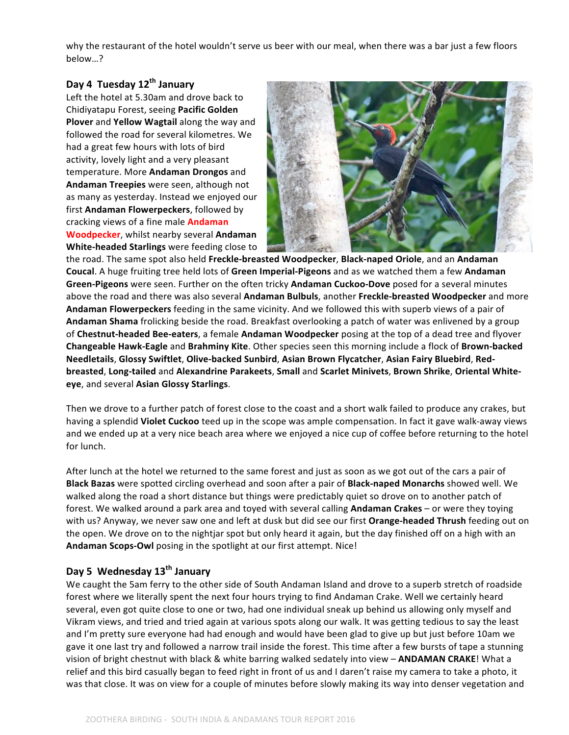why the restaurant of the hotel wouldn't serve us beer with our meal, when there was a bar just a few floors below…? 

## Day 4 Tuesday 12<sup>th</sup> January

Left the hotel at 5.30am and drove back to Chidiyatapu Forest, seeing **Pacific Golden Plover** and **Yellow Wagtail** along the way and followed the road for several kilometres. We had a great few hours with lots of bird activity, lovely light and a very pleasant temperature. More **Andaman Drongos** and Andaman Treepies were seen, although not as many as yesterday. Instead we enjoyed our first Andaman Flowerpeckers, followed by cracking views of a fine male **Andaman Woodpecker**, whilst nearby several Andaman **White-headed Starlings** were feeding close to



the road. The same spot also held Freckle-breasted Woodpecker, Black-naped Oriole, and an Andaman **Coucal**. A huge fruiting tree held lots of Green Imperial-Pigeons and as we watched them a few Andaman **Green-Pigeons** were seen. Further on the often tricky **Andaman Cuckoo-Dove** posed for a several minutes above the road and there was also several **Andaman Bulbuls**, another Freckle-breasted Woodpecker and more Andaman Flowerpeckers feeding in the same vicinity. And we followed this with superb views of a pair of Andaman Shama frolicking beside the road. Breakfast overlooking a patch of water was enlivened by a group of Chestnut-headed Bee-eaters, a female Andaman Woodpecker posing at the top of a dead tree and flyover **Changeable Hawk-Eagle** and **Brahminy Kite**. Other species seen this morning include a flock of **Brown-backed** Needletails, Glossy Swiftlet, Olive-backed Sunbird, Asian Brown Flycatcher, Asian Fairy Bluebird, Redbreasted, Long-tailed and Alexandrine Parakeets, Small and Scarlet Minivets, Brown Shrike, Oriental White**eye**, and several **Asian Glossy Starlings**.

Then we drove to a further patch of forest close to the coast and a short walk failed to produce any crakes, but having a splendid **Violet Cuckoo** teed up in the scope was ample compensation. In fact it gave walk-away views and we ended up at a very nice beach area where we enjoyed a nice cup of coffee before returning to the hotel for lunch.

After lunch at the hotel we returned to the same forest and just as soon as we got out of the cars a pair of **Black Bazas** were spotted circling overhead and soon after a pair of **Black-naped Monarchs** showed well. We walked along the road a short distance but things were predictably quiet so drove on to another patch of forest. We walked around a park area and toyed with several calling **Andaman Crakes** – or were they toying with us? Anyway, we never saw one and left at dusk but did see our first **Orange-headed Thrush** feeding out on the open. We drove on to the nightjar spot but only heard it again, but the day finished off on a high with an Andaman Scops-Owl posing in the spotlight at our first attempt. Nice!

## Day 5 Wednesday 13<sup>th</sup> January

We caught the 5am ferry to the other side of South Andaman Island and drove to a superb stretch of roadside forest where we literally spent the next four hours trying to find Andaman Crake. Well we certainly heard several, even got quite close to one or two, had one individual sneak up behind us allowing only myself and Vikram views, and tried and tried again at various spots along our walk. It was getting tedious to say the least and I'm pretty sure everyone had had enough and would have been glad to give up but just before 10am we gave it one last try and followed a narrow trail inside the forest. This time after a few bursts of tape a stunning vision of bright chestnut with black & white barring walked sedately into view - **ANDAMAN CRAKE**! What a relief and this bird casually began to feed right in front of us and I daren't raise my camera to take a photo, it was that close. It was on view for a couple of minutes before slowly making its way into denser vegetation and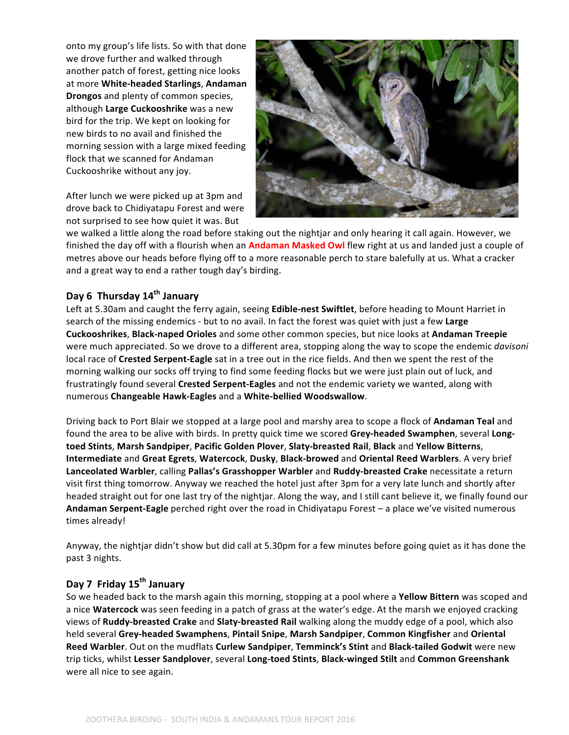onto my group's life lists. So with that done we drove further and walked through another patch of forest, getting nice looks at more **White-headed Starlings**, Andaman **Drongos** and plenty of common species, although Large Cuckooshrike was a new bird for the trip. We kept on looking for new birds to no avail and finished the morning session with a large mixed feeding flock that we scanned for Andaman Cuckooshrike without any joy.

After lunch we were picked up at 3pm and drove back to Chidiyatapu Forest and were not surprised to see how quiet it was. But



we walked a little along the road before staking out the nightjar and only hearing it call again. However, we finished the day off with a flourish when an **Andaman Masked Owl** flew right at us and landed just a couple of metres above our heads before flying off to a more reasonable perch to stare balefully at us. What a cracker and a great way to end a rather tough day's birding.

# **Day 6 Thursday 14th January**

Left at 5.30am and caught the ferry again, seeing Edible-nest Swiftlet, before heading to Mount Harriet in search of the missing endemics - but to no avail. In fact the forest was quiet with just a few Large **Cuckooshrikes**, **Black-naped Orioles** and some other common species, but nice looks at **Andaman Treepie** were much appreciated. So we drove to a different area, stopping along the way to scope the endemic *davisoni* local race of **Crested Serpent-Eagle** sat in a tree out in the rice fields. And then we spent the rest of the morning walking our socks off trying to find some feeding flocks but we were just plain out of luck, and frustratingly found several **Crested Serpent-Eagles** and not the endemic variety we wanted, along with numerous **Changeable Hawk-Eagles** and a **White-bellied Woodswallow**.

Driving back to Port Blair we stopped at a large pool and marshy area to scope a flock of **Andaman Teal** and found the area to be alive with birds. In pretty quick time we scored Grey-headed Swamphen, several Long**toed Stints**, **Marsh Sandpiper**, **Pacific Golden Plover**, **Slaty-breasted Rail**, **Black** and **Yellow Bitterns**, **Intermediate** and **Great Egrets**, **Watercock**, **Dusky**, **Black-browed** and **Oriental Reed Warblers**. A very brief Lanceolated Warbler, calling Pallas's Grasshopper Warbler and Ruddy-breasted Crake necessitate a return visit first thing tomorrow. Anyway we reached the hotel just after 3pm for a very late lunch and shortly after headed straight out for one last try of the nightjar. Along the way, and I still cant believe it, we finally found our Andaman Serpent-Eagle perched right over the road in Chidiyatapu Forest – a place we've visited numerous times already!

Anyway, the nightjar didn't show but did call at 5.30pm for a few minutes before going quiet as it has done the past 3 nights.

# Day 7 Friday 15<sup>th</sup> January

So we headed back to the marsh again this morning, stopping at a pool where a **Yellow Bittern** was scoped and a nice **Watercock** was seen feeding in a patch of grass at the water's edge. At the marsh we enjoyed cracking views of Ruddy-breasted Crake and Slaty-breasted Rail walking along the muddy edge of a pool, which also held several Grey-headed Swamphens, Pintail Snipe, Marsh Sandpiper, Common Kingfisher and Oriental **Reed Warbler**. Out on the mudflats Curlew Sandpiper, Temminck's Stint and Black-tailed Godwit were new trip ticks, whilst **Lesser Sandplover**, several **Long-toed Stints**, **Black-winged Stilt** and **Common Greenshank** were all nice to see again.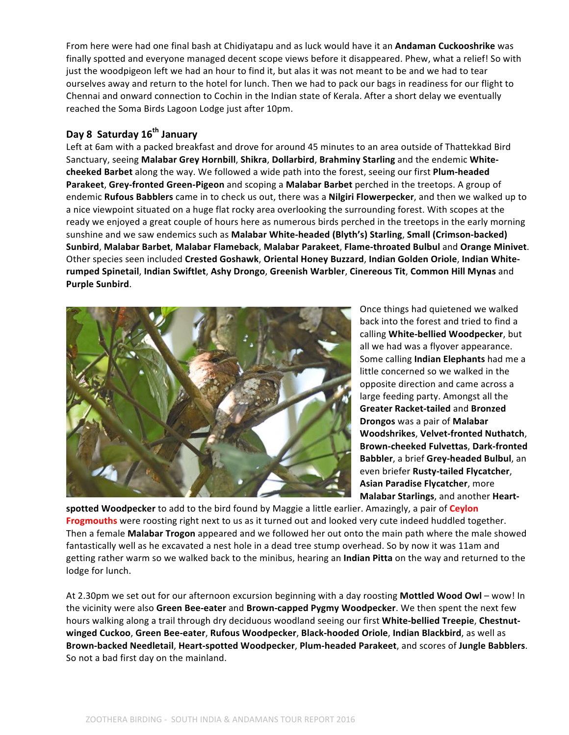From here were had one final bash at Chidiyatapu and as luck would have it an Andaman Cuckooshrike was finally spotted and everyone managed decent scope views before it disappeared. Phew, what a relief! So with just the woodpigeon left we had an hour to find it, but alas it was not meant to be and we had to tear ourselves away and return to the hotel for lunch. Then we had to pack our bags in readiness for our flight to Chennai and onward connection to Cochin in the Indian state of Kerala. After a short delay we eventually reached the Soma Birds Lagoon Lodge just after 10pm.

## **Day 8 Saturday 16th January**

Left at 6am with a packed breakfast and drove for around 45 minutes to an area outside of Thattekkad Bird Sanctuary, seeing Malabar Grey Hornbill, Shikra, Dollarbird, Brahminy Starling and the endemic White**cheeked Barbet** along the way. We followed a wide path into the forest, seeing our first **Plum-headed Parakeet, Grey-fronted Green-Pigeon** and scoping a Malabar Barbet perched in the treetops. A group of endemic **Rufous Babblers** came in to check us out, there was a **Nilgiri Flowerpecker**, and then we walked up to a nice viewpoint situated on a huge flat rocky area overlooking the surrounding forest. With scopes at the ready we enjoyed a great couple of hours here as numerous birds perched in the treetops in the early morning sunshine and we saw endemics such as Malabar White-headed (Blyth's) Starling, Small (Crimson-backed) **Sunbird**, **Malabar Barbet**, **Malabar Flameback**, **Malabar Parakeet**, **Flame-throated Bulbul** and **Orange Minivet**. Other species seen included Crested Goshawk, Oriental Honey Buzzard, Indian Golden Oriole, Indian White**rumped Spinetail**, **Indian Swiftlet**, **Ashy Drongo**, **Greenish Warbler**, **Cinereous Tit**, **Common Hill Mynas** and **Purple Sunbird**.



Once things had quietened we walked back into the forest and tried to find a calling **White-bellied Woodpecker**, but all we had was a flyover appearance. Some calling **Indian Elephants** had me a little concerned so we walked in the opposite direction and came across a large feeding party. Amongst all the **Greater Racket-tailed and Bronzed Drongos** was a pair of **Malabar Woodshrikes**, **Velvet-fronted Nuthatch**, **Brown-cheeked Fulvettas**, **Dark-fronted Babbler**, a brief **Grey-headed Bulbul**, an even briefer **Rusty-tailed Flycatcher**, **Asian Paradise Flycatcher, more Malabar Starlings**, and another **Heart-**

spotted Woodpecker to add to the bird found by Maggie a little earlier. Amazingly, a pair of Ceylon Frogmouths were roosting right next to us as it turned out and looked very cute indeed huddled together. Then a female **Malabar Trogon** appeared and we followed her out onto the main path where the male showed fantastically well as he excavated a nest hole in a dead tree stump overhead. So by now it was 11am and getting rather warm so we walked back to the minibus, hearing an **Indian Pitta** on the way and returned to the lodge for lunch.

At 2.30pm we set out for our afternoon excursion beginning with a day roosting Mottled Wood Owl – wow! In the vicinity were also Green Bee-eater and Brown-capped Pygmy Woodpecker. We then spent the next few hours walking along a trail through dry deciduous woodland seeing our first White-bellied Treepie, Chestnut**winged Cuckoo**, **Green Bee-eater**, **Rufous Woodpecker**, **Black-hooded Oriole**, **Indian Blackbird**, as well as **Brown-backed Needletail**, **Heart-spotted Woodpecker**, **Plum-headed Parakeet**, and scores of **Jungle Babblers**. So not a bad first day on the mainland.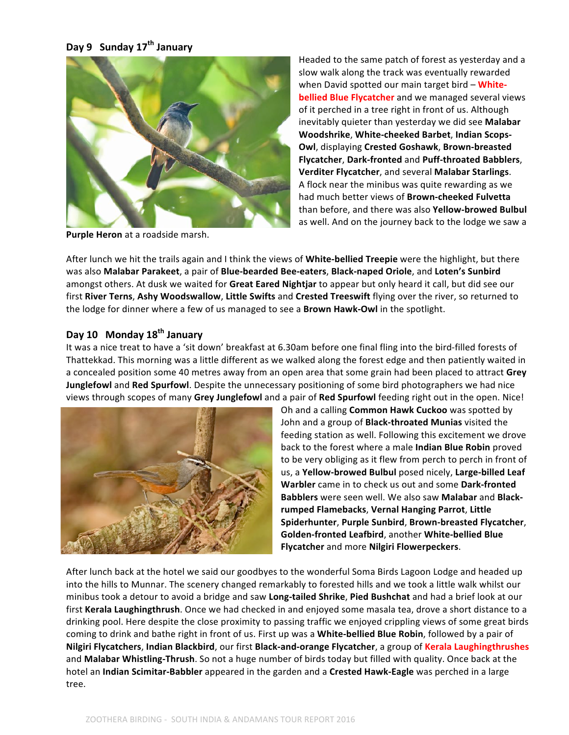# **Day 9 Sunday 17th January**



**Purple Heron** at a roadside marsh.

Headed to the same patch of forest as yesterday and a slow walk along the track was eventually rewarded when David spotted our main target bird - White**bellied Blue Flycatcher** and we managed several views of it perched in a tree right in front of us. Although inevitably quieter than yesterday we did see Malabar **Woodshrike, White-cheeked Barbet, Indian Scops-Owl**, displaying Crested Goshawk, Brown-breasted **Flycatcher**, **Dark-fronted** and **Puff-throated Babblers**, **Verditer Flycatcher**, and several **Malabar Starlings**. A flock near the minibus was quite rewarding as we had much better views of **Brown-cheeked Fulvetta** than before, and there was also Yellow-browed Bulbul as well. And on the journey back to the lodge we saw a

After lunch we hit the trails again and I think the views of White-bellied Treepie were the highlight, but there was also **Malabar Parakeet**, a pair of **Blue-bearded Bee-eaters**, **Black-naped Oriole**, and **Loten's Sunbird** amongst others. At dusk we waited for Great Eared Nightjar to appear but only heard it call, but did see our first River Terns, Ashy Woodswallow, Little Swifts and Crested Treeswift flying over the river, so returned to the lodge for dinner where a few of us managed to see a **Brown Hawk-Owl** in the spotlight.

# Day 10 Monday 18<sup>th</sup> January

It was a nice treat to have a 'sit down' breakfast at 6.30am before one final fling into the bird-filled forests of Thattekkad. This morning was a little different as we walked along the forest edge and then patiently waited in a concealed position some 40 metres away from an open area that some grain had been placed to attract Grey **Junglefowl** and Red Spurfowl. Despite the unnecessary positioning of some bird photographers we had nice views through scopes of many Grey Junglefowl and a pair of Red Spurfowl feeding right out in the open. Nice!



Oh and a calling **Common Hawk Cuckoo** was spotted by John and a group of **Black-throated Munias** visited the feeding station as well. Following this excitement we drove back to the forest where a male **Indian Blue Robin** proved to be very obliging as it flew from perch to perch in front of us, a **Yellow-browed Bulbul** posed nicely, Large-billed Leaf **Warbler** came in to check us out and some Dark-fronted **Babblers** were seen well. We also saw **Malabar** and **Blackrumped Flamebacks**, **Vernal Hanging Parrot**, **Little Spiderhunter**, **Purple Sunbird**, **Brown-breasted Flycatcher**, **Golden-fronted Leafbird**, another **White-bellied Blue Flycatcher** and more **Nilgiri Flowerpeckers**.

After lunch back at the hotel we said our goodbyes to the wonderful Soma Birds Lagoon Lodge and headed up into the hills to Munnar. The scenery changed remarkably to forested hills and we took a little walk whilst our minibus took a detour to avoid a bridge and saw Long-tailed Shrike, Pied Bushchat and had a brief look at our first **Kerala Laughingthrush**. Once we had checked in and enjoyed some masala tea, drove a short distance to a drinking pool. Here despite the close proximity to passing traffic we enjoyed crippling views of some great birds coming to drink and bathe right in front of us. First up was a **White-bellied Blue Robin**, followed by a pair of **Nilgiri Flycatchers, Indian Blackbird, our first Black-and-orange Flycatcher, a group of Kerala Laughingthrushes** and Malabar Whistling-Thrush. So not a huge number of birds today but filled with quality. Once back at the hotel an **Indian Scimitar-Babbler** appeared in the garden and a **Crested Hawk-Eagle** was perched in a large tree.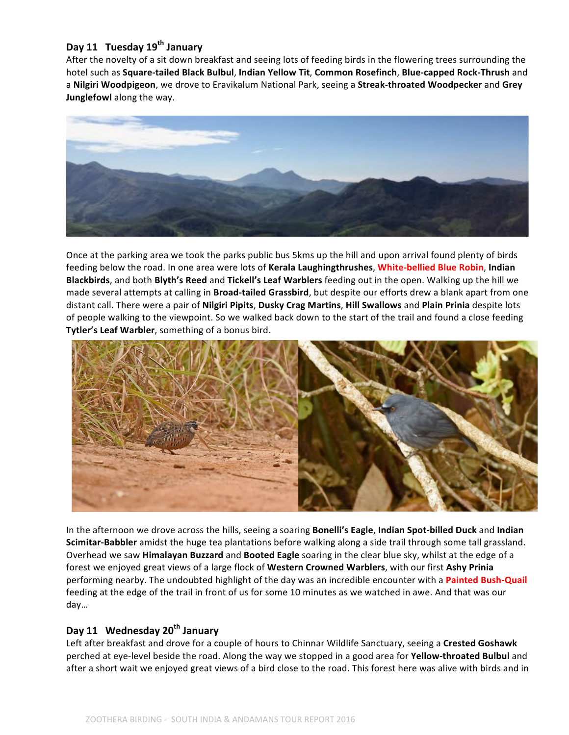# Day 11 Tuesday 19<sup>th</sup> January

After the novelty of a sit down breakfast and seeing lots of feeding birds in the flowering trees surrounding the hotel such as **Square-tailed Black Bulbul**, **Indian Yellow Tit**, **Common Rosefinch**, **Blue-capped Rock-Thrush** and a **Nilgiri Woodpigeon**, we drove to Eravikalum National Park, seeing a Streak-throated Woodpecker and Grey **Junglefowl** along the way.



Once at the parking area we took the parks public bus 5kms up the hill and upon arrival found plenty of birds feeding below the road. In one area were lots of Kerala Laughingthrushes, White-bellied Blue Robin, Indian **Blackbirds**, and both **Blyth's Reed** and Tickell's Leaf Warblers feeding out in the open. Walking up the hill we made several attempts at calling in **Broad-tailed Grassbird**, but despite our efforts drew a blank apart from one distant call. There were a pair of Nilgiri Pipits, Dusky Crag Martins, Hill Swallows and Plain Prinia despite lots of people walking to the viewpoint. So we walked back down to the start of the trail and found a close feeding **Tytler's Leaf Warbler**, something of a bonus bird.



In the afternoon we drove across the hills, seeing a soaring Bonelli's Eagle, Indian Spot-billed Duck and Indian **Scimitar-Babbler** amidst the huge tea plantations before walking along a side trail through some tall grassland. Overhead we saw **Himalayan Buzzard** and **Booted Eagle** soaring in the clear blue sky, whilst at the edge of a forest we enjoyed great views of a large flock of Western Crowned Warblers, with our first Ashy Prinia performing nearby. The undoubted highlight of the day was an incredible encounter with a **Painted Bush-Quail** feeding at the edge of the trail in front of us for some 10 minutes as we watched in awe. And that was our day…

## **Day** 11 Wednesday 20<sup>th</sup> January

Left after breakfast and drove for a couple of hours to Chinnar Wildlife Sanctuary, seeing a Crested Goshawk perched at eye-level beside the road. Along the way we stopped in a good area for **Yellow-throated Bulbul** and after a short wait we enjoyed great views of a bird close to the road. This forest here was alive with birds and in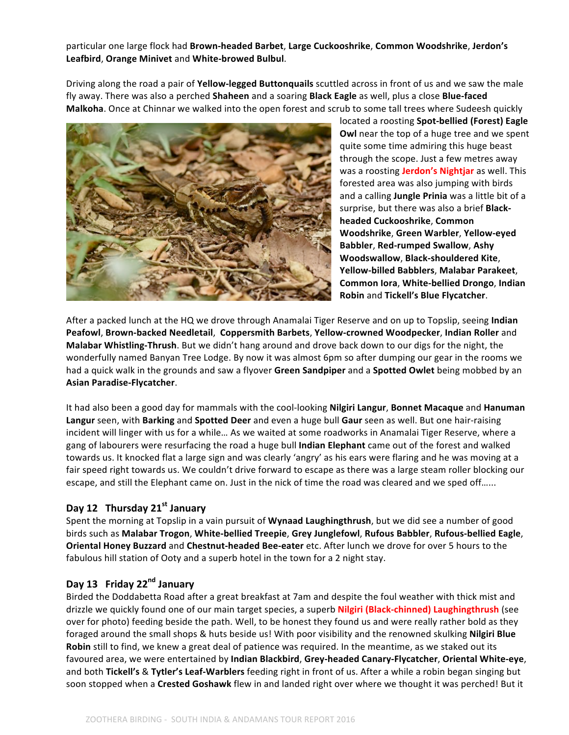## particular one large flock had Brown-headed Barbet, Large Cuckooshrike, Common Woodshrike, Jerdon's **Leafbird**, **Orange Minivet** and **White-browed Bulbul**.

Driving along the road a pair of Yellow-legged Buttonquails scuttled across in front of us and we saw the male fly away. There was also a perched **Shaheen** and a soaring **Black Eagle** as well, plus a close **Blue-faced Malkoha**. Once at Chinnar we walked into the open forest and scrub to some tall trees where Sudeesh quickly



located a roosting Spot-bellied (Forest) Eagle **Owl** near the top of a huge tree and we spent quite some time admiring this huge beast through the scope. Just a few metres away was a roosting **Jerdon's Nightjar** as well. This forested area was also jumping with birds and a calling **Jungle Prinia** was a little bit of a surprise, but there was also a brief **Blackheaded Cuckooshrike**, **Common Woodshrike**, **Green Warbler**, **Yellow-eyed Babbler, Red-rumped Swallow, Ashy Woodswallow**, **Black-shouldered Kite**, **Yellow-billed Babblers**, **Malabar Parakeet**, **Common lora, White-bellied Drongo, Indian Robin** and **Tickell's Blue Flycatcher**.

After a packed lunch at the HQ we drove through Anamalai Tiger Reserve and on up to Topslip, seeing Indian **Peafowl, Brown-backed Needletail, Coppersmith Barbets, Yellow-crowned Woodpecker, Indian Roller and Malabar Whistling-Thrush**. But we didn't hang around and drove back down to our digs for the night, the wonderfully named Banyan Tree Lodge. By now it was almost 6pm so after dumping our gear in the rooms we had a quick walk in the grounds and saw a flyover Green Sandpiper and a Spotted Owlet being mobbed by an **Asian Paradise-Flycatcher**.

It had also been a good day for mammals with the cool-looking **Nilgiri Langur, Bonnet Macaque** and **Hanuman** Langur seen, with Barking and Spotted Deer and even a huge bull Gaur seen as well. But one hair-raising incident will linger with us for a while... As we waited at some roadworks in Anamalai Tiger Reserve, where a gang of labourers were resurfacing the road a huge bull **Indian Elephant** came out of the forest and walked towards us. It knocked flat a large sign and was clearly 'angry' as his ears were flaring and he was moving at a fair speed right towards us. We couldn't drive forward to escape as there was a large steam roller blocking our escape, and still the Elephant came on. Just in the nick of time the road was cleared and we sped off......

## Day 12 Thursday 21<sup>st</sup> January

Spent the morning at Topslip in a vain pursuit of Wynaad Laughingthrush, but we did see a number of good birds such as **Malabar Trogon**, **White-bellied Treepie**, **Grey Junglefowl**, **Rufous Babbler**, **Rufous-bellied Eagle**, **Oriental Honey Buzzard** and *Chestnut-headed Bee-eater* etc. After lunch we drove for over 5 hours to the fabulous hill station of Ooty and a superb hotel in the town for a 2 night stay.

## **Day 13 Friday 22nd January**

Birded the Doddabetta Road after a great breakfast at 7am and despite the foul weather with thick mist and drizzle we quickly found one of our main target species, a superb **Nilgiri (Black-chinned) Laughingthrush** (see over for photo) feeding beside the path. Well, to be honest they found us and were really rather bold as they foraged around the small shops & huts beside us! With poor visibility and the renowned skulking **Nilgiri Blue Robin** still to find, we knew a great deal of patience was required. In the meantime, as we staked out its favoured area, we were entertained by Indian Blackbird, Grey-headed Canary-Flycatcher, Oriental White-eye, and both Tickell's & Tytler's Leaf-Warblers feeding right in front of us. After a while a robin began singing but soon stopped when a Crested Goshawk flew in and landed right over where we thought it was perched! But it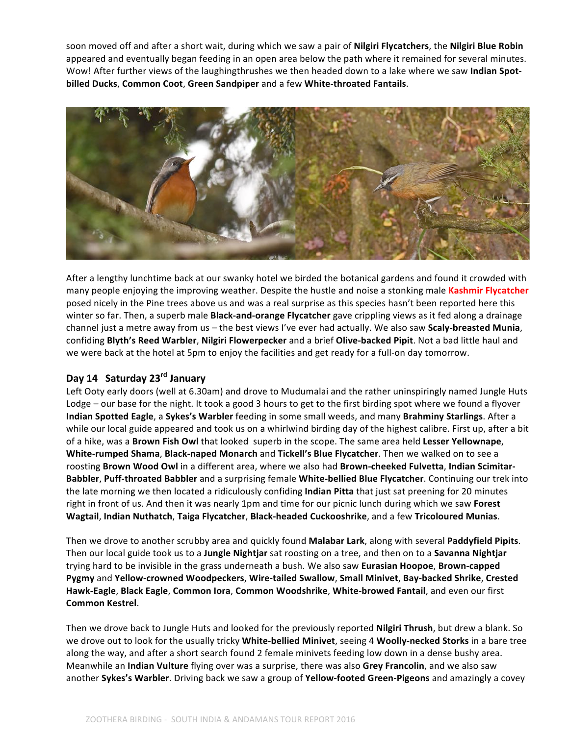soon moved off and after a short wait, during which we saw a pair of **Nilgiri Flycatchers**, the **Nilgiri Blue Robin** appeared and eventually began feeding in an open area below the path where it remained for several minutes. Wow! After further views of the laughingthrushes we then headed down to a lake where we saw Indian Spot**billed Ducks**, **Common Coot**, **Green Sandpiper** and a few **White-throated Fantails**.



After a lengthy lunchtime back at our swanky hotel we birded the botanical gardens and found it crowded with many people enjoying the improving weather. Despite the hustle and noise a stonking male Kashmir Flycatcher posed nicely in the Pine trees above us and was a real surprise as this species hasn't been reported here this winter so far. Then, a superb male **Black-and-orange Flycatcher** gave crippling views as it fed along a drainage channel just a metre away from us – the best views I've ever had actually. We also saw **Scaly-breasted Munia**, confiding Blyth's Reed Warbler, Nilgiri Flowerpecker and a brief Olive-backed Pipit. Not a bad little haul and we were back at the hotel at 5pm to enjoy the facilities and get ready for a full-on day tomorrow.

# **Day 14 Saturday 23rd January**

Left Ooty early doors (well at 6.30am) and drove to Mudumalai and the rather uninspiringly named Jungle Huts Lodge – our base for the night. It took a good 3 hours to get to the first birding spot where we found a flyover **Indian Spotted Eagle**, a Sykes's Warbler feeding in some small weeds, and many Brahminy Starlings. After a while our local guide appeared and took us on a whirlwind birding day of the highest calibre. First up, after a bit of a hike, was a **Brown Fish Owl** that looked superb in the scope. The same area held Lesser Yellownape, **White-rumped Shama, Black-naped Monarch** and Tickell's Blue Flycatcher. Then we walked on to see a roosting Brown Wood Owl in a different area, where we also had Brown-cheeked Fulvetta, Indian Scimitar-**Babbler, Puff-throated Babbler** and a surprising female White-bellied Blue Flycatcher. Continuing our trek into the late morning we then located a ridiculously confiding **Indian Pitta** that just sat preening for 20 minutes right in front of us. And then it was nearly 1pm and time for our picnic lunch during which we saw Forest **Wagtail, Indian Nuthatch, Taiga Flycatcher, Black-headed Cuckooshrike, and a few Tricoloured Munias.** 

Then we drove to another scrubby area and quickly found Malabar Lark, along with several Paddyfield Pipits. Then our local guide took us to a **Jungle Nightjar** sat roosting on a tree, and then on to a **Savanna Nightjar** trying hard to be invisible in the grass underneath a bush. We also saw Eurasian Hoopoe, Brown-capped **Pygmy** and Yellow-crowned Woodpeckers, Wire-tailed Swallow, Small Minivet, Bay-backed Shrike, Crested Hawk-Eagle, Black Eagle, Common lora, Common Woodshrike, White-browed Fantail, and even our first **Common Kestrel**.

Then we drove back to Jungle Huts and looked for the previously reported **Nilgiri Thrush**, but drew a blank. So we drove out to look for the usually tricky **White-bellied Minivet**, seeing 4 **Woolly-necked Storks** in a bare tree along the way, and after a short search found 2 female minivets feeding low down in a dense bushy area. Meanwhile an **Indian Vulture** flying over was a surprise, there was also Grey Francolin, and we also saw another Sykes's Warbler. Driving back we saw a group of Yellow-footed Green-Pigeons and amazingly a covey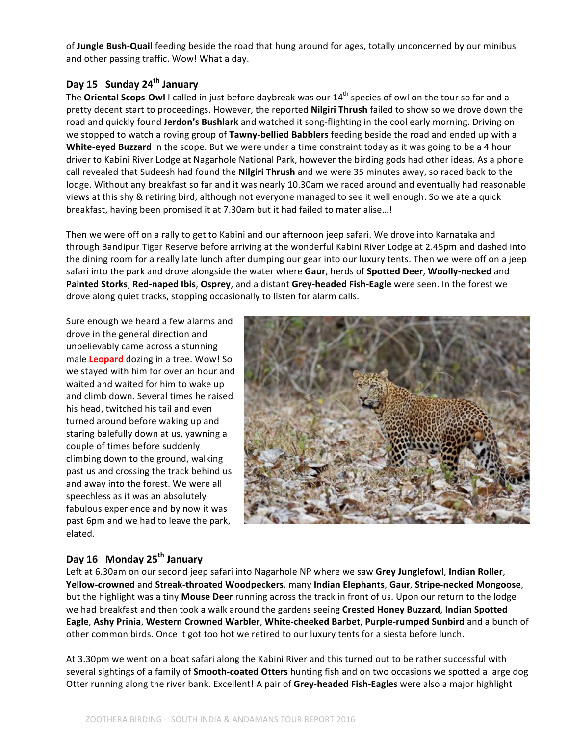of Jungle Bush-Quail feeding beside the road that hung around for ages, totally unconcerned by our minibus and other passing traffic. Wow! What a day.

## **Day 15 Sunday 24th January**

The **Oriental Scops-Owl** I called in just before daybreak was our 14<sup>th</sup> species of owl on the tour so far and a pretty decent start to proceedings. However, the reported **Nilgiri Thrush** failed to show so we drove down the road and quickly found Jerdon's Bushlark and watched it song-flighting in the cool early morning. Driving on we stopped to watch a roving group of **Tawny-bellied Babblers** feeding beside the road and ended up with a **White-eyed Buzzard** in the scope. But we were under a time constraint today as it was going to be a 4 hour driver to Kabini River Lodge at Nagarhole National Park, however the birding gods had other ideas. As a phone call revealed that Sudeesh had found the **Nilgiri Thrush** and we were 35 minutes away, so raced back to the lodge. Without any breakfast so far and it was nearly 10.30am we raced around and eventually had reasonable views at this shy & retiring bird, although not everyone managed to see it well enough. So we ate a quick breakfast, having been promised it at 7.30am but it had failed to materialise...!

Then we were off on a rally to get to Kabini and our afternoon jeep safari. We drove into Karnataka and through Bandipur Tiger Reserve before arriving at the wonderful Kabini River Lodge at 2.45pm and dashed into the dining room for a really late lunch after dumping our gear into our luxury tents. Then we were off on a jeep safari into the park and drove alongside the water where **Gaur**, herds of **Spotted Deer**, **Woolly-necked** and **Painted Storks, Red-naped Ibis, Osprey,** and a distant Grey-headed Fish-Eagle were seen. In the forest we drove along quiet tracks, stopping occasionally to listen for alarm calls.

Sure enough we heard a few alarms and drove in the general direction and unbelievably came across a stunning male **Leopard** dozing in a tree. Wow! So we stayed with him for over an hour and waited and waited for him to wake up and climb down. Several times he raised his head, twitched his tail and even turned around before waking up and staring balefully down at us, yawning a couple of times before suddenly climbing down to the ground, walking past us and crossing the track behind us and away into the forest. We were all speechless as it was an absolutely fabulous experience and by now it was past 6pm and we had to leave the park, elated.



# Day 16 Monday 25<sup>th</sup> January

Left at 6.30am on our second jeep safari into Nagarhole NP where we saw Grey Junglefowl, Indian Roller, **Yellow-crowned** and **Streak-throated Woodpeckers**, many **Indian Elephants**, **Gaur**, **Stripe-necked Mongoose**, but the highlight was a tiny Mouse Deer running across the track in front of us. Upon our return to the lodge we had breakfast and then took a walk around the gardens seeing Crested Honey Buzzard, Indian Spotted **Eagle**, Ashy Prinia, Western Crowned Warbler, White-cheeked Barbet, Purple-rumped Sunbird and a bunch of other common birds. Once it got too hot we retired to our luxury tents for a siesta before lunch.

At 3.30pm we went on a boat safari along the Kabini River and this turned out to be rather successful with several sightings of a family of **Smooth-coated Otters** hunting fish and on two occasions we spotted a large dog Otter running along the river bank. Excellent! A pair of Grey-headed Fish-Eagles were also a major highlight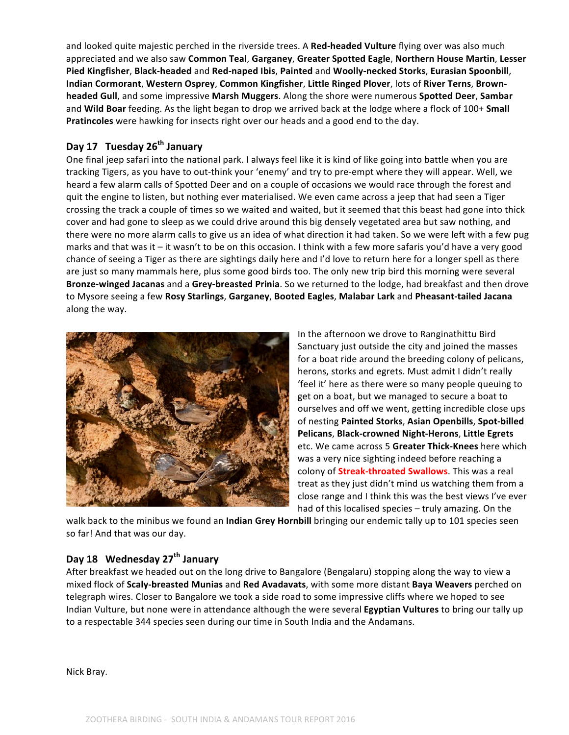and looked quite majestic perched in the riverside trees. A Red-headed Vulture flying over was also much appreciated and we also saw Common Teal, Garganey, Greater Spotted Eagle, Northern House Martin, Lesser **Pied Kingfisher**, **Black-headed** and **Red-naped Ibis**, **Painted** and **Woolly-necked Storks**, **Eurasian Spoonbill**, **Indian Cormorant**, **Western Osprey**, **Common Kingfisher**, **Little Ringed Plover**, lots of **River Terns**, **Brownheaded Gull**, and some impressive Marsh Muggers. Along the shore were numerous Spotted Deer, Sambar and Wild Boar feeding. As the light began to drop we arrived back at the lodge where a flock of 100+ Small Pratincoles were hawking for insects right over our heads and a good end to the day.

## **Day 17 Tuesday 26th January**

One final jeep safari into the national park. I always feel like it is kind of like going into battle when you are tracking Tigers, as you have to out-think your 'enemy' and try to pre-empt where they will appear. Well, we heard a few alarm calls of Spotted Deer and on a couple of occasions we would race through the forest and quit the engine to listen, but nothing ever materialised. We even came across a jeep that had seen a Tiger crossing the track a couple of times so we waited and waited, but it seemed that this beast had gone into thick cover and had gone to sleep as we could drive around this big densely vegetated area but saw nothing, and there were no more alarm calls to give us an idea of what direction it had taken. So we were left with a few pug marks and that was it  $-$  it wasn't to be on this occasion. I think with a few more safaris you'd have a very good chance of seeing a Tiger as there are sightings daily here and I'd love to return here for a longer spell as there are just so many mammals here, plus some good birds too. The only new trip bird this morning were several **Bronze-winged Jacanas** and a Grey-breasted Prinia. So we returned to the lodge, had breakfast and then drove to Mysore seeing a few **Rosy Starlings**, **Garganey**, **Booted Eagles**, **Malabar Lark** and **Pheasant-tailed Jacana** along the way.



In the afternoon we drove to Ranginathittu Bird Sanctuary just outside the city and joined the masses for a boat ride around the breeding colony of pelicans, herons, storks and egrets. Must admit I didn't really 'feel it' here as there were so many people queuing to get on a boat, but we managed to secure a boat to ourselves and off we went, getting incredible close ups of nesting Painted Storks, Asian Openbills, Spot-billed **Pelicans**, **Black-crowned Night-Herons**, **Little Egrets** etc. We came across 5 **Greater Thick-Knees** here which was a very nice sighting indeed before reaching a colony of **Streak-throated Swallows**. This was a real treat as they just didn't mind us watching them from a close range and I think this was the best views I've ever had of this localised species – truly amazing. On the

walk back to the minibus we found an Indian Grey Hornbill bringing our endemic tally up to 101 species seen so far! And that was our day.

# **Day 18 Wednesday 27th January**

After breakfast we headed out on the long drive to Bangalore (Bengalaru) stopping along the way to view a mixed flock of **Scaly-breasted Munias** and Red Avadavats, with some more distant Baya Weavers perched on telegraph wires. Closer to Bangalore we took a side road to some impressive cliffs where we hoped to see Indian Vulture, but none were in attendance although the were several **Egyptian Vultures** to bring our tally up to a respectable 344 species seen during our time in South India and the Andamans.

Nick Bray.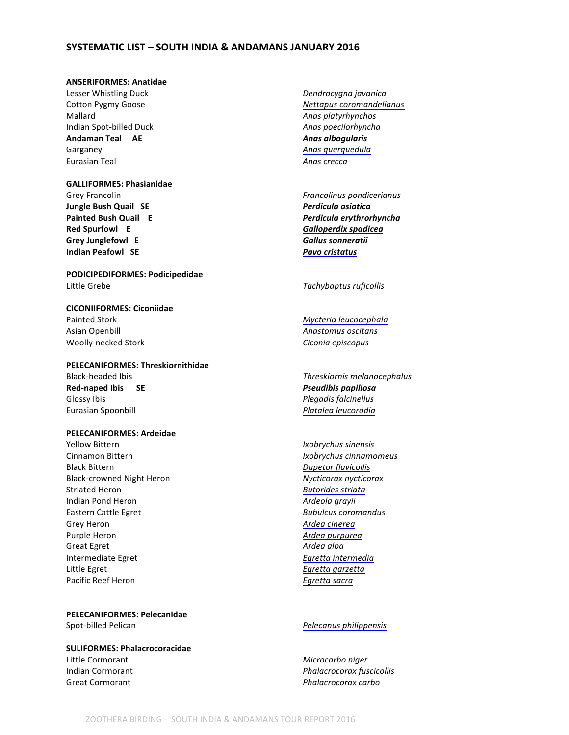## **SYSTEMATIC LIST - SOUTH INDIA & ANDAMANS JANUARY 2016**

## **ANSERIFORMES: Anatidae**

Lesser Whistling Duck *Dendrocygna javanica* Mallard **Anas** platyrhynchos Indian Spot-billed Duck **Anas poecilorhyncha** *Anas poecilorhyncha Anas Anas poecilorhyncha* Garganey **Anas** querquedula **Anas** querquedula Eurasian Teal *Anas crecca*

### **GALLIFORMES: Phasianidae**

Grey Francolin *Francolinus pondicerianus Francolinus pondicerianus* **Jungle Bush Quail SE** *Perdicula asiatica* **Red Spurfowl** E *Calloperdix spadicea* **Galloperdix** Grey Junglefowl E<br> **Gallus** sonneratii **Indian Peafowl SE** *Pavo cristatus* 

**PODICIPEDIFORMES: Podicipedidae** Little Grebe *Tachybaptus ruficollis* 

# **CICONIIFORMES: Ciconiidae** Painted Stork **Mycteria** leucocephala Asian Openbill **Anastomus** oscitans

## **PELECANIFORMES: Threskiornithidae**

Red-naped Ibis SE *Pseudibis papillosa* Glossy Ibis *Plegadis falcinellus Plegadis falcinellus* Eurasian Spoonbill *Platalea leucorodia*

### **PELECANIFORMES: Ardeidae**

Yellow Bittern **IXOBY IXOBY IXOBY** *Ixobrychus sinensis* Cinnamon Bittern *Ixobrychus cinnamomeus* Black Bittern *Dupetor flavicollis* Black-crowned Night Heron **Mycticorax** nycticorax Striated Heron *Butorides striata* Indian Pond Heron *Ardeola grayii* Eastern Cattle Egret **Bubulcus** *Bubulcus coromandus Bubulcus coromandus* Grey Heron *Ardea cinerea* Purple Heron *Ardea purpurea* Great Egret **Ardea** alba **Intermediate Egret**  Egretta intermedia Little Egret **Egretta** garzetta *Egretta garzetta* Pacific Reef Heron *Egretta sacra* 

**PELECANIFORMES: Pelecanidae** Spot-billed Pelican *Pelecanus philippensis Pelecanus philippensis* 

## **SULIFORMES: Phalacrocoracidae** Little Cormorant **Microcarbo** niger **Indian Cormorant** *Phalacrocorax fuscicollis*

- Cotton Pygmy Goose *Nettapus coromandelianus* Andaman Teal AE *Anas albogularis*
- **Painted Bush Quail E** *Perdicula erythrorhyncha*

Woolly-necked Stork **Ciconia** episcopus **Ciconia** episcopus

Black-headed Ibis *Threskiornis melanocephalus Threskiornis melanocephalus* 

Great Cormorant *Phalacrocorax carbo*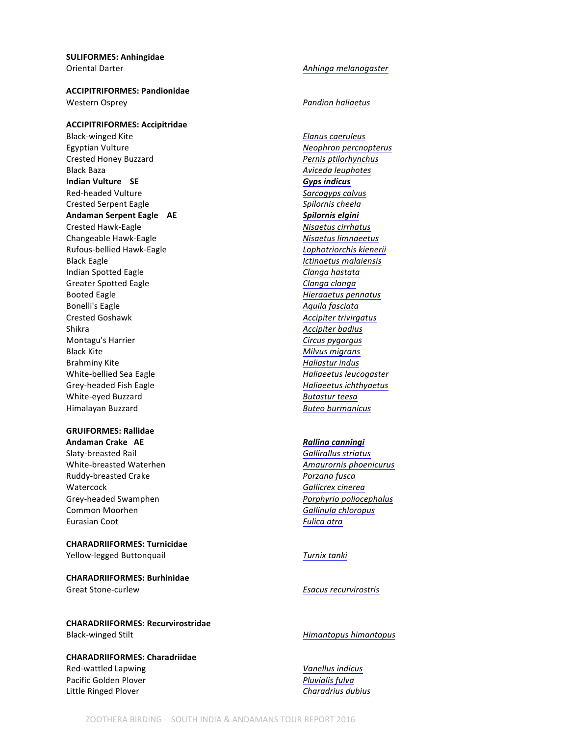**SULIFORMES: Anhingidae** Oriental Darter *Communisty Communisty Communisty Communisty Communisty Communisty Communisty Communisty Communisty Communisty Communisty Communisty Communisty Communisty Communisty Communisty Communisty Communisty Commun* 

**ACCIPITRIFORMES: Pandionidae** Western Osprey *Pandion haliaetus*

### **ACCIPITRIFORMES: Accipitridae**

Black-winged Kite *Elanus caeruleus* Egyptian Vulture **Network** Endangered **Network** Engineering Memorial Properties Crested Honey Buzzard *Pernis ptilorhynchus* Black Baza *Aviceda leuphotes Aviceda leuphotes* **Indian Vulture SE** *Gyps indicus* **Critically endangered** Red-headed Vulture **Sarcogyps** calvus Crested Serpent Eagle **Spilornis** *Crested Serpent Eagle* **Spilornis** *Cheela* Andaman Serpent Eagle AE *Spilornis elgini Spilornis elgini* Crested Hawk-Eagle *Nisaetus cirrhatus* Changeable Hawk-Eagle **Nights and Changeable Hawk-Eagle Nights and Allen Changeable Hawk-Eagle** Rufous-bellied Hawk-Eagle *Lophotriorchis kienerii* Black Eagle *Ictinaetus malaiensis* Indian Spotted Eagle **Clanga** hastata Greater Spotted Eagle **Clanga** Clanga Clanga Vulnerable *Clanga* Clanga Booted Eagle **Hieraaetus** *Hieraaetus pennatus* Bonelli's Eagle **Aquila Fasciata**<br>Crested Goshawk **Accipiter trivirg** Crested Goshawk Shikra *Accipiter badius* **Accipiter** *badius* Montagu's Harrier *Circus pygargus Circus pygargus* Black Kite **Military Community Military** *Milvus migrans Military Military <i>Milvus migrans* Brahminy Kite *Haliastur indus Haliastur indus* White-bellied Sea Eagle *Haliaeetus leucogaster Haliaeetus leucogaster* Grey-headed Fish Eagle **Haliaeetus** ichthyaetus ichthyaetus White-eyed Buzzard **Butastur** teesa Himalayan Buzzard *Buteo burmanicus*

## **GRUIFORMES: Rallidae**

**Andaman Crake AE** *Rallina canningi* **Outlying islands only Near-threatened** Slaty-breasted Rail **Galliratus Gallirallus** striatus White-breasted Waterhen **Amaurornis** phoenicurus **Amaurornis** phoenicurus Ruddy-breasted Crake *Porzana* fusca **Watercock Gallicrex** cinerea Grey-headed Swamphen *Porphyrio poliocephalus Porphyrio poliocephalus* Common Moorhen **Gallinula** chloropus Eurasian Coot **Fulica** atra

## **CHARADRIIFORMES: Turnicidae**

Yellow-legged Buttonquail **Turnix** tanki

**CHARADRIIFORMES: Burhinidae**

**CHARADRIIFORMES: Recurvirostridae** Black-winged Stilt *Himantopus himantopus* 

## **CHARADRIIFORMES: Charadriidae**

Red-wattled Lapwing *Vanellus indicus Vanellus indicus* Pacific Golden Plover *Pluvialis fulva* Little Ringed Plover *Charadrius dubius*

Crested Goshawk *Accipiter trivirgatus*

## Great Stone-curlew **Exacus** For Esacus recurvirostris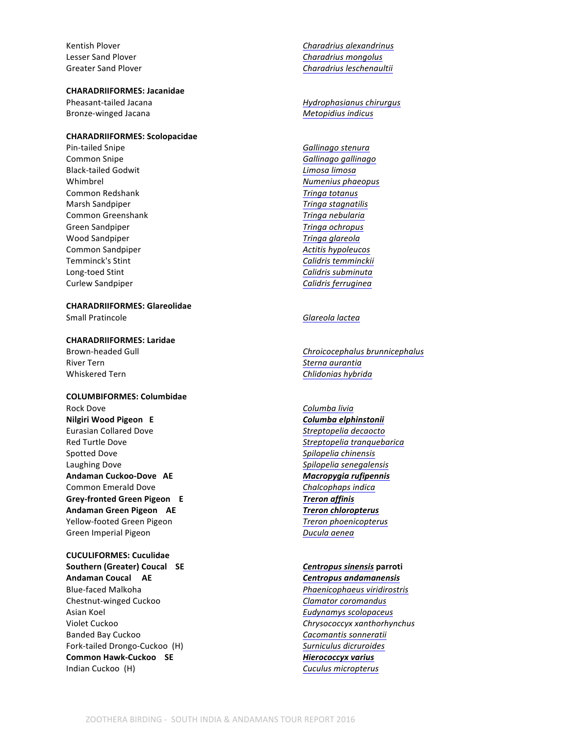## **CHARADRIIFORMES: Jacanidae**

Bronze-winged Jacana **Metopidius** indicus

### **CHARADRIIFORMES: Scolopacidae**

Pin-tailed Snipe *Gallinago stenura* **Common Snipe**  Gallinago *Gallinago gallinago* Black-tailed Godwit *Limosa limosa* Near-threatened by the *Limosa limosa* Near-threatened by the set of the set of the set of the set of the set of the set of the set of the set of the set of the set of the set of the set Whimbrel **Whimbrel Numenius** phaeopus **Common Redshank Tringa totanus** Marsh Sandpiper *Tringa stagnatilis* **Common Greenshank Tringa nebularia Tringa nebularia** Green Sandpiper *Tringa ochropus* Wood Sandpiper *Tringa glareola* **Common Sandpiper Action** *Actitis hypoleucos Actitis hypoleucos* Temminck's Stint **Calidris** temminckii Long-toed Stint **Calidris** subminuta Curlew Sandpiper *Calidris* ferruginea

**CHARADRIIFORMES: Glareolidae**

**CHARADRIIFORMES: Laridae**

Whiskered Tern *Chlidonias hybrida* 

### **COLUMBIFORMES: Columbidae**

Rock Dove **Columba** livia **Nilgiri Wood Pigeon E Columba** *E* **Columba** *E* **E E E E E E** Eurasian Collared Dove *Streptopelia decaocto* Red Turtle Dove *Streptopelia tranquebarica Streptopelia tranquebarica* Spotted Dove *Spilopelia chinensis Spilopelia chinensis* Laughing Dove *Spilopelia senegalensis* **Andaman Cuckoo-Dove AE Cultumerate** *Macropygia rufipennis Macropygia rufipennis* Common Emerald Dove *Chalcophaps indica* Grey-fronted Green Pigeon E<br>
Treron affinis Andaman Green Pigeon AE *Treron chloropterus Treron chloropterus* Yellow-footed Green Pigeon *Treron phoenicopterus* Green Imperial Pigeon *Ducula aenea* 

**CUCULIFORMES: Cuculidae Southern (Greater) Coucal SE** *Centropus sinensis* **parroti Andaman Coucal AE** *Centropus andamanensis* Blue-faced Malkoha *Phaenicophaeus viridirostris* Chestnut-winged Cuckoo **Clamator** Clamator coromandus Asian Koel **Asian** *Eudynamys* scolopaceus Violet Cuckoo *Chrysococcyx xanthorhynchus Chrysococcyx xanthorhynchus* Banded Bay Cuckoo **Cacomantis** sonneratii Fork-tailed Drongo-Cuckoo (H) *Surniculus dicruroides* Common Hawk-Cuckoo SE *Hierococcyx varius* Indian Cuckoo (H) **Cuculus** micropterus **Cuculus** micropterus

Kentish Plover **Charadrius** *Charadrius alexandrinus* Lesser Sand Plover **Charadrius** *Charadrius mongolus* **Charadrius** *Charadrius mongolus* Greater Sand Plover **Charadrius** *Charadrius leschenaultii* 

Pheasant-tailed Jacana *Hydrophasianus chirurgus Hydrophasianus chirurgus* 

## Small Pratincole **Glareola** *Glareola lactea*

Brown-headed Gull **Brown-headed** Gull **Chroicocephalus** brunnicephalus River Tern *Sterna aurantia* Near-threatened Sterna aurantia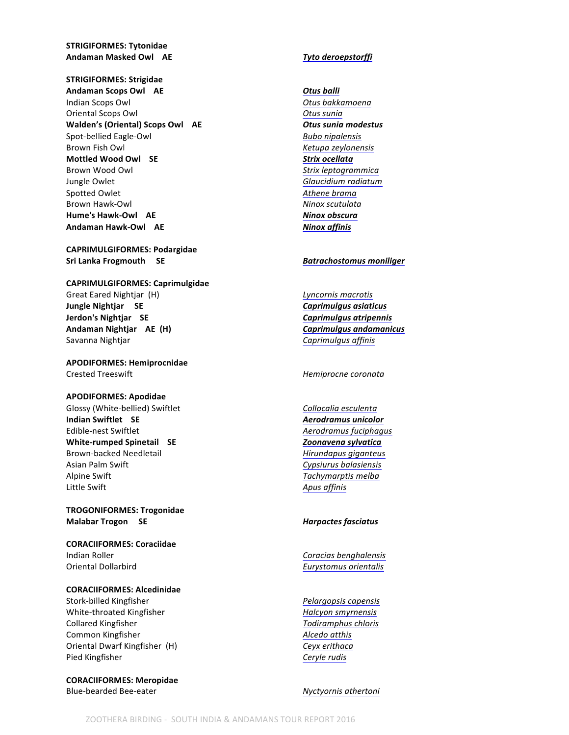**STRIGIFORMES: Tytonidae** Andaman Masked Owl AE *Tyto deroepstorffi* 

**STRIGIFORMES: Strigidae Andaman Scops Owl AE Otus Otus Otus** Indian Scops Owl *Otus bakkamoena* Oriental Scops Owl **Otus** sunia **Walden's (Oriental) Scops Owl** AE *Otus sunia modestus* Spot-bellied Eagle-Owl **Bubo** nipalensis Brown Fish Owl **Example 2018 Research** *Ketupa zeylonensis* **Mottled Wood Owl** SE Strix ocellata Brown Wood Owl **Brown Wood Owl Strix** *leptogrammica* Jungle Owlet **Glaucidium** radiatum Spotted Owlet **Athene** brama Brown Hawk-Owl **Ninox** scutulata **Hume's Hawk-Owl** AE *Ninox obscura* 

**CAPRIMULGIFORMES: Podargidae** Sri Lanka Frogmouth SE *Batrachostomus moniliger Batrachostomus moniliger* 

### **CAPRIMULGIFORMES: Caprimulgidae**

Great Eared Nightjar (H) **Calcular Contract Eared Nightjar** (H) **Lyncornis macrotis Jungle Nightjar** SE *Caprimulgus asiaticus* **Jerdon's Nightjar SE** *Caprimulgus atripennis* **Andaman Nightjar** AE (H) *Caprimulgus andamanicus* **Ending to Apple 2011** Savanna Nightjar **Caprimulgus** affinis

**APODIFORMES: Hemiprocnidae Crested Treeswift** *Hemiprocne coronata* 

### **APODIFORMES: Apodidae**

Glossy (White-bellied) Swiftlet *Collocalia* esculenta **Indian Swiftlet SE** *Aerodramus unicolor* Edible-nest Swiftlet **Authority Community** *Aerodramus fuciphagus Aerodramus fuciphagus* White-rumped Spinetail SE *Zoonavena sylvatica* Brown-backed Needletail *Hirundapus giganteus* Asian Palm Swift **Cypsiurus** balasiensis Alpine Swift **Alpine** Swift *Tachymarptis* melba Little Swift **Apus** affinis

**TROGONIFORMES: Trogonidae Malabar Trogon SE** *Malabar Trogon SE Malabar Trogon SE* 

**CORACIIFORMES: Coraciidae** Indian Roller **Constanting Constanting Constanting Constanting Constanting Constanting Constanting Constanting Constanting Constanting Constanting Constanting Constanting Constanting Constanting Constanting Constanting Con** Oriental Dollarbird **Contains and Contains and Contains and Contains and Contains and Contains and Contains and Contains and Contains and Contains and Contains and Contains and Contains and Contains and Contains and Contai** 

### **CORACIIFORMES: Alcedinidae**

Stork-billed Kingfisher *Pelargopsis capensis* White-throated Kingfisher *Halcyon smyrnensis* Collared Kingfisher *Todiramphus chloris Todiramphus chloris* **Common Kingfisher** *Alcedo* at this Oriental Dwarf Kingfisher (H) *Ceyx erithaca* Pied Kingfisher **Ceryle** rudis

**CORACIIFORMES: Meropidae** Blue-bearded Bee-eater *Nyctyornis* athertoni

Andaman Hawk-Owl AE *Ninox affinis Ninox affinis*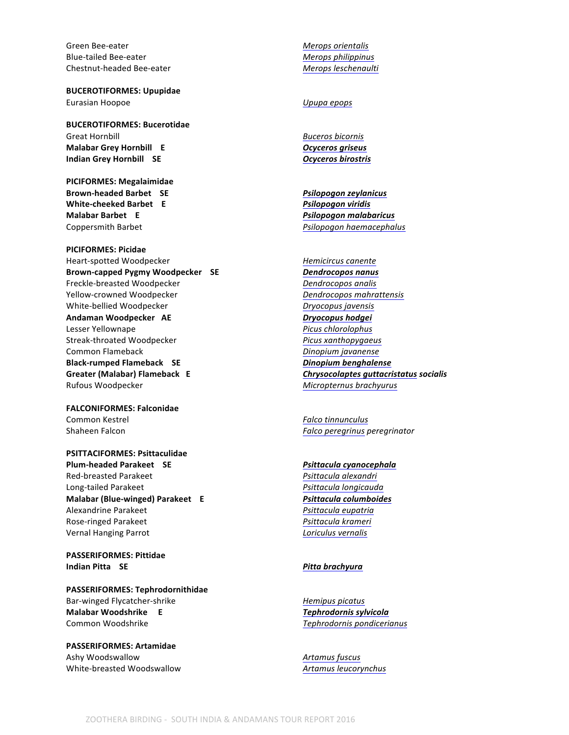Green Bee-eater **Merops** orientalis Blue-tailed Bee-eater *Merops philippinus* Chestnut-headed Bee-eater *Merops leschenaulti*

**BUCEROTIFORMES: Upupidae** Eurasian Hoopoe *Upupa epops* 

**BUCEROTIFORMES: Bucerotidae Great Hornbill**  Buceros bicornis Annual Buceros bicornis Annual Annual Annual Annual Annual Annual Annual Annu **Malabar Grey Hornbill** E *Cyceros griseus* **E Indian Grey Hornbill SE** *Ocyceros birostris* 

**PICIFORMES: Megalaimidae Brown-headed Barbet SE** *Psilopogon zeylanicus* **White-cheeked Barbet E E Psilopogon** viridis **Malabar Barbet E** *Psilopogon malabaricus* **Endemic** Coppersmith Barbet *Psilopogon haemacephalus Psilopogon haemacephalus* 

**PICIFORMES: Picidae** Heart-spotted Woodpecker **Heart-Spotted** Woodpecker **Hemicircus** canente Brown-capped Pygmy Woodpecker SE *Dendrocopos nanus* Freckle-breasted Woodpecker *Dendrocopos analis* Yellow-crowned Woodpecker *Dendrocopos mahrattensis* White-bellied Woodpecker *Dryocopus javensis* Andaman Woodpecker AE *Dryocopus hodgei* Lesser Yellownape *Picus chlorolophus* Streak-throated Woodpecker *Picus xanthopygaeus* Common Flameback **Dinopium** javanense **Black-rumped Flameback SE** *Dinopium benghalense* Greater (Malabar) Flameback E *Chrysocolaptes quttacristatus socialis* Rufous Woodpecker **Micropternus** brachyurus **Micropternus** brachyurus

**FALCONIFORMES: Falconidae Common Kestrel**  *Falco tinnunculus Falco tinnunculus* Shaheen Falcon *Falco peregrinus peregrinator*

**PSITTACIFORMES: Psittaculidae Plum-headed Parakeet SE** *Psittacula cyanocephala* Red-breasted Parakeet *Psittacula alexandri* Near-Long-tailed Parakeet *Psittacula longicauda* Near-threatened *Psittacula longicauda* **Malabar (Blue-winged) Parakeet E Paramic 2016 Psittacula columboides Psittacula** Alexandrine Parakeet *Parakeet Psittacula eupatria Psittacula eupatria* Rose-ringed Parakeet *Psittacula krameri* Vernal Hanging Parrot *Loriculus vernalis* 

**PASSERIFORMES: Pittidae Indian Pitta** SE *Pitta brachyura* 

**PASSERIFORMES: Tephrodornithidae** Bar-winged Flycatcher-shrike *Hemipus picatus* **Malabar Woodshrike E E Tephrodornis** sylvicola Common Woodshrike **Tephrodornis** pondicerianus

**PASSERIFORMES: Artamidae** Ashy Woodswallow **Artamus** fuscus White-breasted Woodswallow **Artamus** leucorynchus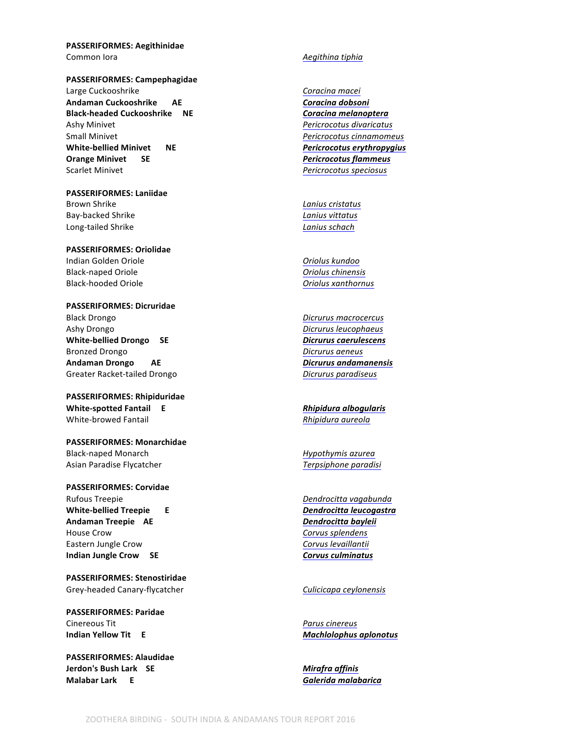**PASSERIFORMES: Aegithinidae** Common lora **Accommon Common Lora Aegithina** tiphia

**PASSERIFORMES: Campephagidae**

Large Cuckooshrike **Coracina** macei Andaman Cuckooshrike AE *AE* **Endemicies Endemnant Coracina** dobsoni **Black-headed Cuckooshrike NE** *Coracina melanoptera* Ashy Minivet *Pericrocotus divaricatus* Small Minivet *Pericrocotus cinnamomeus Pericrocotus cinnamomeus* **White-bellied Minivet ME** *Pericrocotus erythropygius* **Orange Minivet SE** *COLLECTERS Pericrocotus flammeus* Scarlet Minivet *Pericrocotus speciosus* 

**PASSERIFORMES: Laniidae** Brown Shrike *Lanius cristatus* Bay-backed Shrike *Lanius vittatus* Long-tailed Shrike *Lanius schach* 

**PASSERIFORMES: Oriolidae** Indian Golden Oriole *Oriolus kundoo* Black-naped Oriole *Oriolus chinensis* Black-hooded Oriole *Oriolus xanthornus*

**PASSERIFORMES: Dicruridae** Black Drongo *Dicrurus macrocercus Dicrurus macrocercus* Ashy Drongo *Dicrurus leucophaeus Dicrurus leucophaeus* White-bellied Drongo SE *Dicrurus caerulescens* Bronzed Drongo *Dicrurus aeneus Dicrurus aeneus* **Andaman Drongo AE** *AE**Dicrurus andamanensis Dicrurus andamanensis* Greater Racket-tailed Drongo *Dicrurus paradiseus Dicrurus paradiseus* 

**PASSERIFORMES: Rhipiduridae White-spotted Fantail E Rhipidura albogularis Rhipidura** albogularis White-browed Fantail *Rhipidura aureola*

**PASSERIFORMES: Monarchidae** Black-naped Monarch **Accord** *Hypothymis* azurea Asian Paradise Flycatcher **Terpsiphone** paradisi

**PASSERIFORMES: Corvidae** Rufous Treepie **Dendrocitta** vagabunda **White-bellied Treepie E** *Dendrocitta leucogastra* **Endemic Andaman Treepie AE** *Dendrocitta bayleii Dendrocitta bayleii* House Crow **Corvus** Splendens **Corvus** Splendens Eastern Jungle Crow **Community** Corvus levaillantii **Indian Jungle Crow** SE *Corvus culminatus* 

**PASSERIFORMES: Stenostiridae** Grey-headed Canary-flycatcher *Culicicapa ceylonensis*

**PASSERIFORMES: Paridae** Cinereous Tit *Parus cinereus* **Indian Yellow Tit**  E

**PASSERIFORMES: Alaudidae Jerdon's Bush Lark SE** *Mirafra affinis* **Malabar Lark** E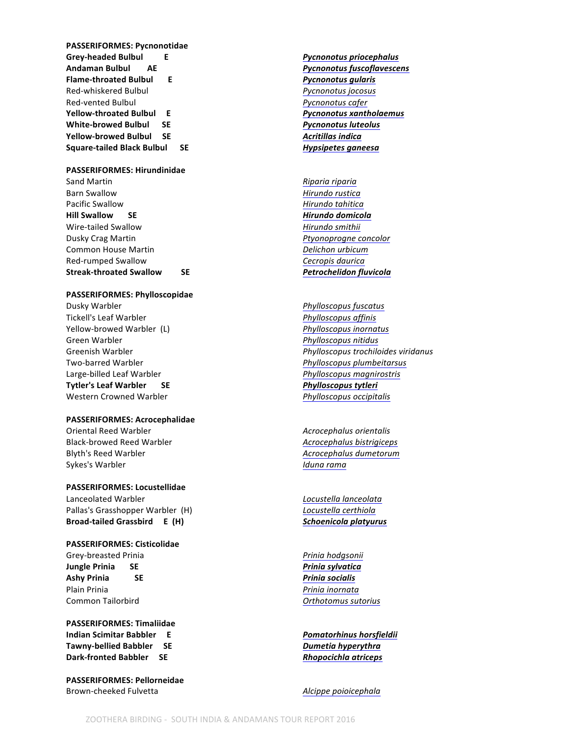**PASSERIFORMES: Pycnonotidae** Grey-headed Bulbul **E** *E**Pycnonotus priocephalus* **E Andaman Bulbul AE** *Pycnonotus fuscoflavescens* **Endemic Flame-throated Bulbul C E** *Pycnonotus gularis* **E** Red-whiskered Bulbul *Pycnonotus jocosus* Red-vented Bulbul *Pycnonotus cafer* **Yellow-throated Bulbul E** *Pycnonotus xantholaemus**Pycnonotus**xantholaemus* White-browed Bulbul SE *Pycnonotus luteolus* **Yellow-browed Bulbul SE** *Acritillas indica Acritillas indica* Square-tailed Black Bulbul SE *Hypsipetes ganeesa* 

### **PASSERIFORMES: Hirundinidae**

Sand Martin *Riparia riparia Riparia riparia* Barn Swallow **Music Contract Contract Contract Contract Contract Contract Contract Contract Contract Contract Contract Contract Contract Contract Contract Contract Contract Contract Contract Contract Contract Contract Cont** Pacific Swallow *Hirundo tahitica* **Hill Swallow SE** *Hirundo domicola Hirundo domicola* Wire-tailed Swallow **Michael Account Contract Contract Contract Contract Contract Contract Contract Contract Contract Contract Contract Contract Contract Contract Contract Contract Contract Contract Contract Contract Contr** Dusky Crag Martin *Ptyonoprogne concolor Ptyonoprogne concolor* **Common House Martin Delichon** *Delichon urbicum* Red-rumped Swallow **Cecropis** daurica Streak-throated Swallow SE *Petrochelidon fluvicola* 

### **PASSERIFORMES: Phylloscopidae**

**Dusky Warbler** *Phylloscopus fuscatus Phylloscopus fuscatus* Tickell's Leaf Warbler *Phylloscopus affinis* Yellow-browed Warbler (L) *Phylloscopus inornatus* Green Warbler *Phylloscopus nitidus Phylloscopus nitidus* Two-barred Warbler *Phylloscopus plumbeitarsus* Large-billed Leaf Warbler *Phylloscopus magnirostris* **Tytler's Leaf Warbler SE** *Breeding**Breeding <b>Breeding Breeding Breeding Breeding Breeding Breeding Breeding Breeding Breeding Breeding Breeding Breeding Breeding Breeding Breeding Bree* Western Crowned Warbler *Phylloscopus occipitalis Phylloscopus occipitalis* 

### **PASSERIFORMES: Acrocephalidae**

Oriental Reed Warbler **Acrocephalus** orientalis Black-browed Reed Warbler *Acrocephalus bistrigiceps* Blyth's Reed Warbler *Acrocephalus dumetorum Acrocephalus dumetorum* Sykes's Warbler *Iduna rama* 

### **PASSERIFORMES: Locustellidae**

Lanceolated Warbler *Locustella lanceolata* Pallas's Grasshopper Warbler (H) *Locustella certhiola* **Broad-tailed Grassbird E (H) Schoenicola platyurus Endemicide Endemicide Endemicide Endemicide Endemicide Endemicide Endemicide Endemicide Endemicide Endemicide Endemicide Endemicide Endemicide Endemicide Endemicide E** 

### **PASSERIFORMES: Cisticolidae**

Grey-breasted Prinia *Prinia Prinia hodgsonii Prinia hodgsonii* **Jungle Prinia** SE *Prinia SE Prinia sylvatica* Ashy Prinia SE *Prinia socialis* Plain Prinia *Prinia Prinia inornata* Common Tailorbird **Common Tailor Common Tailor Orthotomus** sutorius

**PASSERIFORMES: Timaliidae Indian Scimitar Babbler E** *Pomatorhinus horsfieldii* **Tawny-bellied Babbler SE** *Dumetia hyperythra* **Dark-fronted Babbler** SE *Rhopocichla atriceps* 

**PASSERIFORMES: Pellorneidae** Brown-cheeked Fulvetta *Alcippe poioicephala*

Greenish Warbler *Greenish Warbler* **Phylloscopus trochiloides viridanus**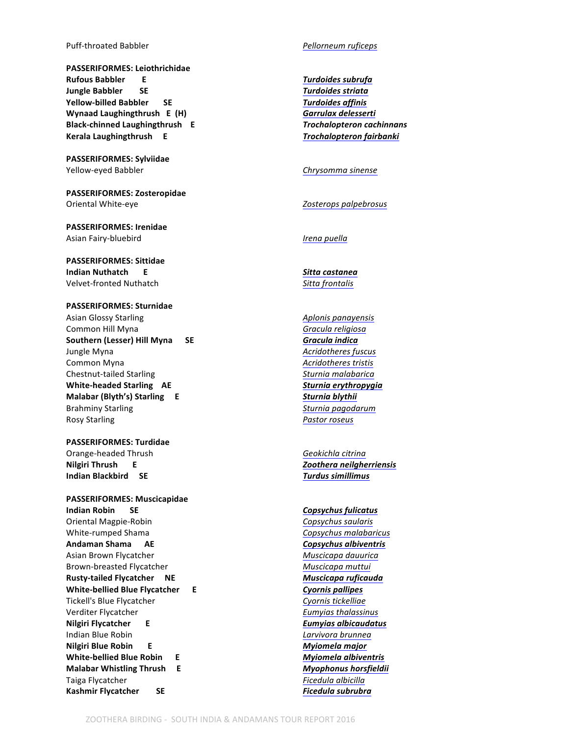### Puff-throated Babbler *Pellorneum ruficeps*

**PASSERIFORMES: Leiothrichidae**  $\frac{2}{\pi}$  Rufous Babbler E **Jungle Babbler SE** SE *Turdoides striata* **Yellow-billed Babbler SE** *Turdoides affinis* **Wynaad Laughingthrush E (H) Garrulax delesserti E Black-chinned Laughingthrush E** *Trochalopteron cachinnans* **Kerala Laughingthrush E** *Company* **E** *Trochalopteron fairbanki Near-threatened Reader* 

**PASSERIFORMES: Sylviidae** Yellow-eyed Babbler *Chrysomma sinense* 

**PASSERIFORMES: Zosteropidae** Oriental White-eye *Zosterops palpebrosus*

**PASSERIFORMES: Irenidae** Asian Fairy-bluebird **International Community** *Irena puella* 

**PASSERIFORMES: Sittidae Indian Nuthatch E Sitta castanea** Velvet-fronted Nuthatch *Sitta frontalis*

**PASSERIFORMES: Sturnidae** Asian Glossy Starling **Aplonis** *Aplonis panayensis Aplonis Aplonis Aplonis panayensis* Common Hill Myna *Gracula religiosa Gracula religiosa* Southern (Lesser) Hill Myna SE *Gracula indica* **Jungle Myna Acridotheres** fuscus **Common Myna Acridotheres** tristis Chestnut-tailed Starling *Sturnia malabarica* White-headed Starling AE *Sturnia erythropygia* **Malabar (Blyth's) Starling E Sturnia blythii Sturnia** blythii Brahminy Starling *Station* **Starling** *Sturnia pagodarum* Rosy Starling *Pastor roseus* 

**PASSERIFORMES: Turdidae** Orange-headed Thrush **Geokichla** Citrina **Nilgiri Thrush E** *E E E Zoothera neilgherriensis* **Indian Blackbird SE** *Turdus simillimus* 

**PASSERIFORMES: Muscicapidae Indian Robin** SE *Copsychus fulicatus* Oriental Magpie-Robin *Copsychus saularis* White-rumped Shama *Copsychus malabaricus Copsychus malabaricus* Andaman Shama AE *Copsychus albiventris* **Ending the State of the State of the State of the State of the State of the State of the State of the State of the State of the State of the State of the State of the State of th** Asian Brown Flycatcher **Muscicapa** dauurica Brown-breasted Flycatcher **Muscicapa** muttui **Rusty-tailed Flycatcher ME** *NE**Muscicapa ruficauda* **White-bellied Blue Flycatcher E E** *Cyornis pallipes* Tickell's Blue Flycatcher **Cyonnis** tickelliae **Cyonnis** tickelliae Verditer Flycatcher *Eumyias thalassinus* **Nilgiri Flycatcher E Example 2018 Eumyias albicaudatus Eumyias Eumyias Eumyias Eumyias Eumyias Eumyias Indian Blue Robin 1988 1999 Larvivora brunnea Nilgiri Blue Robin E** *Myiomela major* **Endemic Endangered White-bellied Blue Robin E Myiomela albiventris Myiomela Malabar Whistling Thrush E Myophonus horsfieldii Myophonus E** Taiga Flycatcher *Ficedula albicilla* **Kashmir Flycatcher SE** *Ficedula subrubra*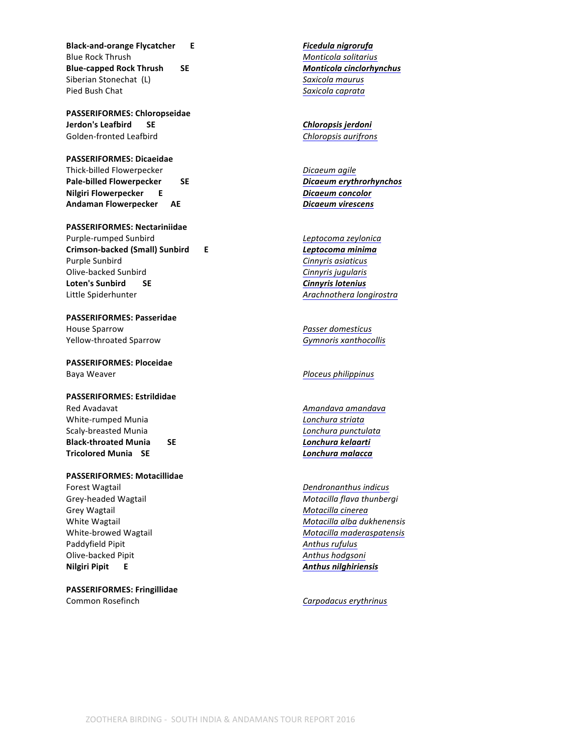**Black-and-orange Flycatcher E Endemicient Endemiciene Entertainment Endemiciene Endemnit Endemiciene Endemnit Endemnit Endemnit Endemnit Endemnit Endemnit Endemnit Endemnit Endemnit Endemnit Endemnit Endemnit Endemn** Blue Rock Thrush **Monticola** solitarius **Monticola** solitarius **Blue-capped Rock Thrush SE** *SE**Monticola cinclorhynchus* Siberian Stonechat (L) **Siberian** Stonechat (L) **Saxicola** maurus Pied Bush Chat *Saxicola caprata* 

**PASSERIFORMES: Chloropseidae Jerdon's Leafbird SE** *Chloropsis jerdoni* Golden-fronted Leafbird **Chloropsis** aurifrons

**PASSERIFORMES: Dicaeidae** Thick-billed Flowerpecker *Dicaeum agile* **Pale-billed Flowerpecker SE** *SE Dicaeum erythrorhynchos* **Nilgiri Flowerpecker E E** *Dicaeum concolor* Andaman Flowerpecker AE *Dicaeum virescens* 

**PASSERIFORMES: Nectariniidae** Purple-rumped Sunbird *Leptocoma zeylonica* **Crimson-backed (Small) Sunbird E Endemicient Leptocoma** minima Purple Sunbird **Cinnyris** asiaticus Olive-backed Sunbird **Cinnyris** jugularis **Loten's Sunbird SE**  SE Cinnyris lotenius Little Spiderhunter *Arachnothera longirostra* 

**PASSERIFORMES: Passeridae House Sparrow** *Passer domesticus Passer domesticus* Yellow-throated Sparrow *Gymnoris xanthocollis*

**PASSERIFORMES: Ploceidae** Baya Weaver *Ploceus philippinus*

**PASSERIFORMES: Estrildidae** Red Avadavat *Amandava Amandava Amandava Amandava* White-rumped Munia *Lonchura striata* Scaly-breasted Munia *Lonchura punctulata* **Black-throated Munia SE** *Lonchura kelaarti* **Tricolored Munia SE** *Lonchura malacca*

**PASSERIFORMES: Motacillidae**

Grey Wagtail **Motacilla** Cinerea Paddyfield Pipit *Paddyfield Pipit* **Anthus** *rufulus Anthus rufulus Anthus rufulus* Olive-backed Pipit **Anthus** hodgsoni **Nilgiri Pipit E Anthus nilghiriensis Anthus E** 

**PASSERIFORMES: Fringillidae** Common Rosefinch **Carpodacus** erythrinus

**Forest Wagtail**  *Dendronanthus indicus Dendronanthus indicus* Grey-headed Wagtail *Grey-headed Wagtail* **Motacilla** *flava thunbergi* White Wagtail **Motacilla** alba *dukhenensis Motacilla alba dukhenensis* White-browed Wagtail **Motacilla** *Motacilla maderaspatensis*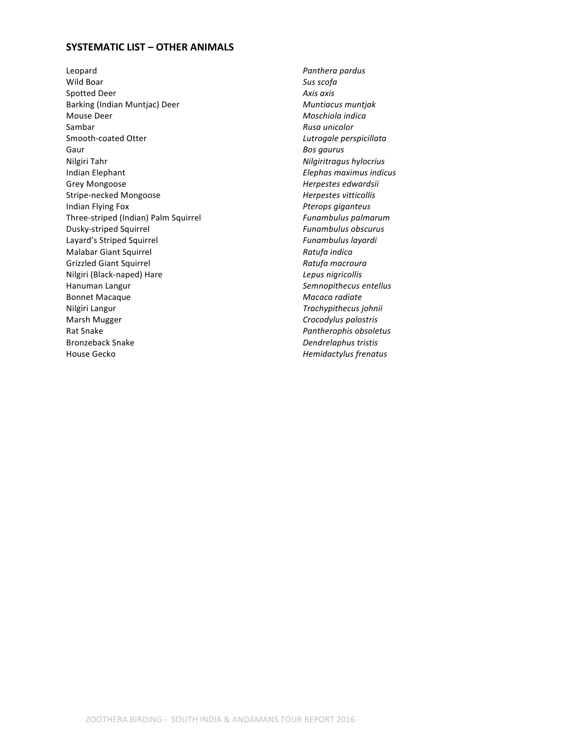## **SYSTEMATIC LIST - OTHER ANIMALS**

Leopard **Panthera** pardus **Panthera** pardus Wild Boar **Sus scofa** Sus scofa Spotted Deer **Axis** axis axis Barking (Indian Muntjac) Deer **Muntiacus** muntjak Mouse Deer *Moschiola indica* Sambar *Rusa unicolor* Smooth-coated Otter *Lutrogale perspicillata* Gaur **Bosgaurus Bosgaurus** Nilgiri Tahr **Nilgiritragus** hylocrius **Nilgiritragus** hylocrius **Indian Elephant Indian Elephant Elephant Elephas maximus indicus** Grey Mongoose *Herpestes edwardsii* Stripe-necked Mongoose *Herpestes vitticollis* Indian Flying Fox *Pterops giganteus* Three-striped (Indian) Palm Squirrel *Funambulus palmarum* Dusky-striped Squirrel *Funambulus obscurus* Layard's Striped Squirrel **Funding Striped** Squirrel **Funding Striped** Squirrel **Funding Striped** Squirrel **Malabar Giant Squirrel** *Ratufa indica Ratufa indica* Grizzled Giant Squirrel *Ratufa macroura Ratufa macroura* Nilgiri (Black-naped) Hare *Lepus nigricollis* Hanuman Langur **Manuman Langur Semnopithecus** entellus Bonnet Macaque **Macaca** radiate **Macaca** radiate Nilgiri Langur *Trachypithecus johnii* Marsh Mugger **Marsh Mugger Crocodylus** palostris Rat Snake *Pantherophis* obsoletus Bronzeback Snake *Dendrelaphus tristis* House Gecko *Hemidactylus frenatus Hemidactylus frenatus*